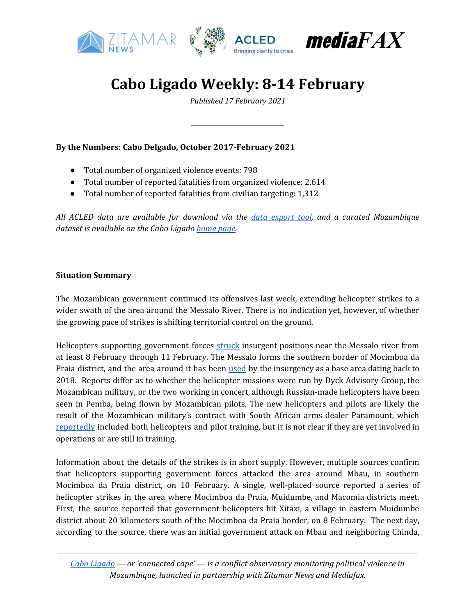

## **Cabo Ligado Weekly: 8-14 February**

*Published 17 February 2021*

**By the Numbers: Cabo Delgado, October 2017-February 2021**

- Total number of organized violence events: 798
- Total number of reported fatalities from organized violence: 2,614
- Total number of reported fatalities from civilian targeting: 1,312

*All ACLED data are available for download via the data [export](https://acleddata.com/data-export-tool/) tool, and a curated Mozambique dataset is available on the Cabo Ligado [home](https://acleddata.com/cabo-ligado-mozambique-conflict-observatory/) page.*

#### **Situation Summary**

The Mozambican government continued its offensives last week, extending helicopter strikes to a wider swath of the area around the Messalo River. There is no indication yet, however, of whether the growing pace of strikes is shifting territorial control on the ground.

Helicopters supporting government forces [struck](https://cartamz.com/index.php/politica/item/7214-terrorismo-em-cabo-delgado-fds-intensificam-bombardeamentos-nas-proximidades-do-rio-messalo) insurgent positions near the Messalo river from at least 8 February through 11 February. The Messalo forms the southern border of Mocimboa da Praia district, and the area around it has been [used](https://acleddata.com/2020/05/26/cabo-ligado-weekly-18-24-may-2020/) by the insurgency as a base area dating back to 2018. Reports differ as to whether the helicopter missions were run by Dyck Advisory Group, the Mozambican military, or the two working in concert, although Russian-made helicopters have been seen in Pemba, being flown by Mozambican pilots. The new helicopters and pilots are likely the result of the Mozambican military's contract with South African arms dealer Paramount, which [reportedly](https://acleddata.com/2020/12/15/cabo-ligado-weekly-7-13-december-2020/) included both helicopters and pilot training, but it is not clear if they are yet involved in operations or are still in training.

Information about the details of the strikes is in short supply. However, multiple sources confirm that helicopters supporting government forces attacked the area around Mbau, in southern Mocimboa da Praia district, on 10 February. A single, well-placed source reported a series of helicopter strikes in the area where Mocimboa da Praia, Muidumbe, and Macomia districts meet. First, the source reported that government helicopters hit Xitaxi, a village in eastern Muidumbe district about 20 kilometers south of the Mocimboa da Praia border, on 8 February. The next day, according to the source, there was an initial government attack on Mbau and neighboring Chinda,

*Cabo [Ligado](https://acleddata.com/cabo-ligado-mozambique-conflict-observatory/) — or 'connected cape' — is a conflict observatory monitoring political violence in Mozambique, launched in partnership with Zitamar News and Mediafax.*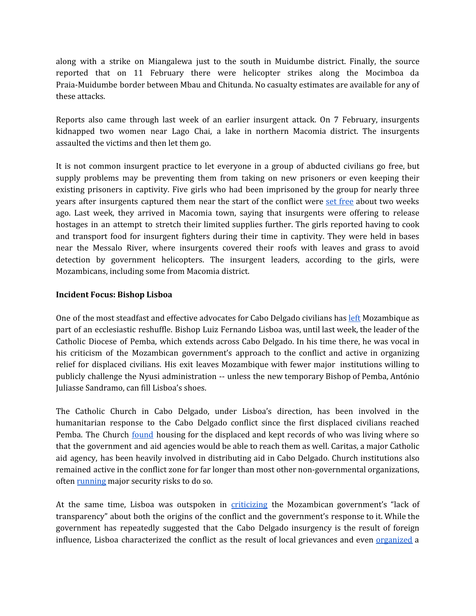along with a strike on Miangalewa just to the south in Muidumbe district. Finally, the source reported that on 11 February there were helicopter strikes along the Mocimboa da Praia-Muidumbe border between Mbau and Chitunda. No casualty estimates are available for any of these attacks.

Reports also came through last week of an earlier insurgent attack. On 7 February, insurgents kidnapped two women near Lago Chai, a lake in northern Macomia district. The insurgents assaulted the victims and then let them go.

It is not common insurgent practice to let everyone in a group of abducted civilians go free, but supply problems may be preventing them from taking on new prisoners or even keeping their existing prisoners in captivity. Five girls who had been imprisoned by the group for nearly three years after insurgents captured them near the start of the conflict were set [free](https://zitamar.com/five-girls-arrive-in-macomia-after-being-freed-by-starving-insurgents/) about two weeks ago. Last week, they arrived in Macomia town, saying that insurgents were offering to release hostages in an attempt to stretch their limited supplies further. The girls reported having to cook and transport food for insurgent fighters during their time in captivity. They were held in bases near the Messalo River, where insurgents covered their roofs with leaves and grass to avoid detection by government helicopters. The insurgent leaders, according to the girls, were Mozambicans, including some from Macomia district.

### **Incident Focus: Bishop Lisboa**

One of the most steadfast and effective advocates for Cabo Delgado civilians has [left](https://www.catholicnewsagency.com/news/catholic-bishop-in-mozambique-hotspot-transferred-to-brazilian-diocese-68240) Mozambique as part of an ecclesiastic reshuffle. Bishop Luiz Fernando Lisboa was, until last week, the leader of the Catholic Diocese of Pemba, which extends across Cabo Delgado. In his time there, he was vocal in his criticism of the Mozambican government's approach to the conflict and active in organizing relief for displaced civilians. His exit leaves Mozambique with fewer major institutions willing to publicly challenge the Nyusi administration -- unless the new temporary Bishop of Pemba, António Juliasse Sandramo, can fill Lisboa's shoes.

The Catholic Church in Cabo Delgado, under Lisboa's direction, has been involved in the humanitarian response to the Cabo Delgado conflict since the first displaced civilians reached Pemba. The Church [found](https://cipmoz.org/wp-content/uploads/2020/10/The-number-of-internally-1.pdf) housing for the displaced and kept records of who was living where so that the government and aid agencies would be able to reach them as well. Caritas, a major Catholic aid agency, has been heavily involved in distributing aid in Cabo Delgado. Church institutions also remained active in the conflict zone for far longer than most other non-governmental organizations, often [running](https://www.dw.com/pt-002/terrorismo-em-cabo-delgado-parte-dos-jornalistas-refugiados-nas-matas-em-seguran%C3%A7a/a-55596944) major security risks to do so.

At the same time, Lisboa was outspoken in *[criticizing](https://www.americamagazine.org/politics-society/2020/08/25/bishop-mozambique-target-campaign-criticizing-government)* the Mozambican government's "lack of transparency" about both the origins of the conflict and the government's response to it. While the government has repeatedly suggested that the Cabo Delgado insurgency is the result of foreign influence, Lisboa characterized the conflict as the result of local grievances and even [organized](http://www.open.ac.uk/technology/mozambique/sites/www.open.ac.uk.technology.mozambique/files/files/Mozambique_523-15Feb2021_ruby-houses_Bishop%20removed_Brazil-deal.pdf) a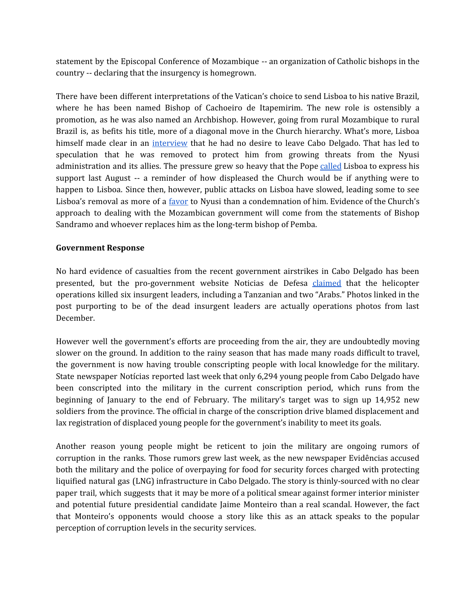statement by the Episcopal Conference of Mozambique -- an organization of Catholic bishops in the country -- declaring that the insurgency is homegrown.

There have been different interpretations of the Vatican's choice to send Lisboa to his native Brazil, where he has been named Bishop of Cachoeiro de Itapemirim. The new role is ostensibly a promotion, as he was also named an Archbishop. However, going from rural Mozambique to rural Brazil is, as befits his title, more of a diagonal move in the Church hierarchy. What's more, Lisboa himself made clear in an [interview](https://clubofmozambique.com/news/bishop-luiz-lisboa-admits-that-leaving-mozambique-may-be-related-to-threats-radio-renascenca-184341/) that he had no desire to leave Cabo Delgado. That has led to speculation that he was removed to protect him from growing threats from the Nyusi administration and its allies. The pressure grew so heavy that the Pope [called](https://www.americamagazine.org/politics-society/2020/08/25/bishop-mozambique-target-campaign-criticizing-government) Lisboa to express his support last August -- a reminder of how displeased the Church would be if anything were to happen to Lisboa. Since then, however, public attacks on Lisboa have slowed, leading some to see Lisboa's removal as more of a *[favor](http://www.open.ac.uk/technology/mozambique/sites/www.open.ac.uk.technology.mozambique/files/files/Mozambique_523-15Feb2021_ruby-houses_Bishop%20removed_Brazil-deal.pdf)* to Nyusi than a condemnation of him. Evidence of the Church's approach to dealing with the Mozambican government will come from the statements of Bishop Sandramo and whoever replaces him as the long-term bishop of Pemba.

### **Government Response**

No hard evidence of casualties from the recent government airstrikes in Cabo Delgado has been presented, but the pro-government website Noticias de Defesa [claimed](https://cartamz.com/index.php/politica/item/7214-terrorismo-em-cabo-delgado-fds-intensificam-bombardeamentos-nas-proximidades-do-rio-messalo) that the helicopter operations killed six insurgent leaders, including a Tanzanian and two "Arabs." Photos linked in the post purporting to be of the dead insurgent leaders are actually operations photos from last December.

However well the government's efforts are proceeding from the air, they are undoubtedly moving slower on the ground. In addition to the rainy season that has made many roads difficult to travel, the government is now having trouble conscripting people with local knowledge for the military. State newspaper Notícias reported last week that only 6,294 young people from Cabo Delgado have been conscripted into the military in the current conscription period, which runs from the beginning of January to the end of February. The military's target was to sign up 14,952 new soldiers from the province. The official in charge of the conscription drive blamed displacement and lax registration of displaced young people for the government's inability to meet its goals.

Another reason young people might be reticent to join the military are ongoing rumors of corruption in the ranks. Those rumors grew last week, as the new newspaper Evidências accused both the military and the police of overpaying for food for security forces charged with protecting liquified natural gas (LNG) infrastructure in Cabo Delgado. The story is thinly-sourced with no clear paper trail, which suggests that it may be more of a political smear against former interior minister and potential future presidential candidate Jaime Monteiro than a real scandal. However, the fact that Monteiro's opponents would choose a story like this as an attack speaks to the popular perception of corruption levels in the security services.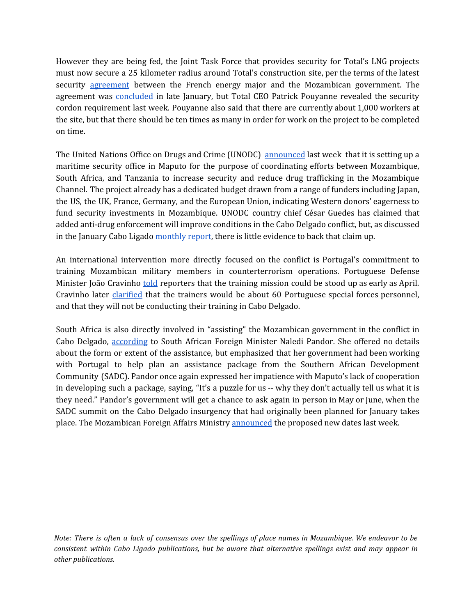However they are being fed, the Joint Task Force that provides security for Total's LNG projects must now secure a 25 kilometer radius around Total's construction site, per the terms of the latest security [agreement](https://www.rfi.fr/en/africa/20210211-jihadist-attacks-in-northern-mozambique-dwindling-says-military) between the French energy major and the Mozambican government. The agreement was [concluded](https://acleddata.com/2021/01/26/cabo-ligado-weekly-18-24-january-2021/) in late January, but Total CEO Patrick Pouyanne revealed the security cordon requirement last week. Pouyanne also said that there are currently about 1,000 workers at the site, but that there should be ten times as many in order for work on the project to be completed on time.

The United Nations Office on Drugs and Crime (UNODC) [announced](https://clubofmozambique.com/news/mozambique-un-chooses-maputo-for-maritime-security-office-with-south-africa-tanzania-183813/) last week that it is setting up a maritime security office in Maputo for the purpose of coordinating efforts between Mozambique, South Africa, and Tanzania to increase security and reduce drug trafficking in the Mozambique Channel. The project already has a dedicated budget drawn from a range of funders including Japan, the US, the UK, France, Germany, and the European Union, indicating Western donors' eagerness to fund security investments in Mozambique. UNODC country chief César Guedes has claimed that added anti-drug enforcement will improve conditions in the Cabo Delgado conflict, but, as discussed in the January Cabo Ligado [monthly report,](https://t.co/9ZEKG2GrRw?amp=1) there is little evidence to back that claim up.

An international intervention more directly focused on the conflict is Portugal's commitment to training Mozambican military members in counterterrorism operations. Portuguese Defense Minister João Cravinho [told](https://www.dw.com/pt-002/cabo-delgado-portugal-diz-que-forma%C3%A7%C3%A3o-de-militares-poder%C3%A1-come%C3%A7ar-em-abril/a-56512717) reporters that the training mission could be stood up as early as April. Cravinho later [clarified](https://www.dw.com/pt-002/portugal-enviar%C3%A1-para-mo%C3%A7ambique-cerca-de-60-formadores-de-for%C3%A7as-especiais/a-56597633) that the trainers would be about 60 Portuguese special forces personnel, and that they will not be conducting their training in Cabo Delgado.

South Africa is also directly involved in "assisting" the Mozambican government in the conflict in Cabo Delgado, [according](https://www.dailymaverick.co.za/article/2021-02-12-south-africa-is-assisting-mozambique-in-fight-against-insurgents-says-naledi-pandor/) to South African Foreign Minister Naledi Pandor. She offered no details about the form or extent of the assistance, but emphasized that her government had been working with Portugal to help plan an assistance package from the Southern African Development Community (SADC). Pandor once again expressed her impatience with Maputo's lack of cooperation in developing such a package, saying, "It's a puzzle for us -- why they don't actually tell us what it is they need." Pandor's government will get a chance to ask again in person in May or June, when the SADC summit on the Cabo Delgado insurgency that had originally been planned for January takes place. The Mozambican Foreign Affairs Ministry [announced](https://www.lusa.pt/article/FjBf_L0UBj1H_V1YUt4fmzMSZM5iuSI1/mo%C3%A7ambique-ataques-cimeira-extraordin%C3%A1ria-da-sadc-adiada-para-maio-ou-junho) the proposed new dates last week.

*Note: There is often a lack of consensus over the spellings of place names in Mozambique. We endeavor to be consistent within Cabo Ligado publications, but be aware that alternative spellings exist and may appear in other publications.*